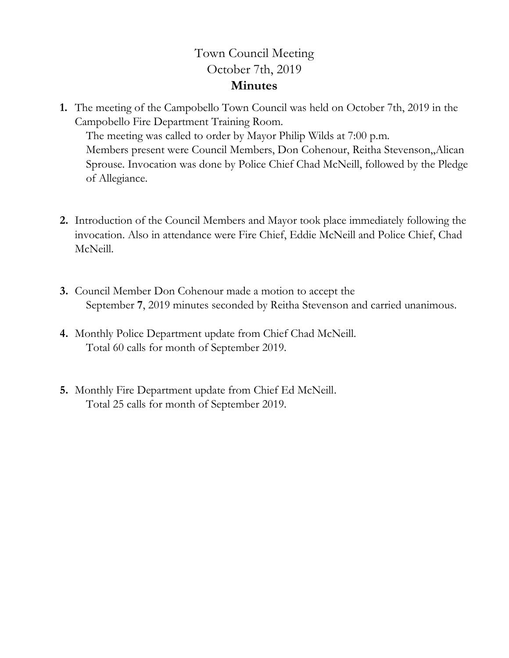## Town Council Meeting October 7th, 2019 **Minutes**

**1.** The meeting of the Campobello Town Council was held on October 7th, 2019 in the Campobello Fire Department Training Room.

The meeting was called to order by Mayor Philip Wilds at 7:00 p.m. Members present were Council Members, Don Cohenour, Reitha Stevenson,,Alican Sprouse. Invocation was done by Police Chief Chad McNeill, followed by the Pledge of Allegiance.

- **2.** Introduction of the Council Members and Mayor took place immediately following the invocation. Also in attendance were Fire Chief, Eddie McNeill and Police Chief, Chad McNeill.
- **3.** Council Member Don Cohenour made a motion to accept the September **7**, 2019 minutes seconded by Reitha Stevenson and carried unanimous.
- **4.** Monthly Police Department update from Chief Chad McNeill. Total 60 calls for month of September 2019.
- **5.** Monthly Fire Department update from Chief Ed McNeill. Total 25 calls for month of September 2019.